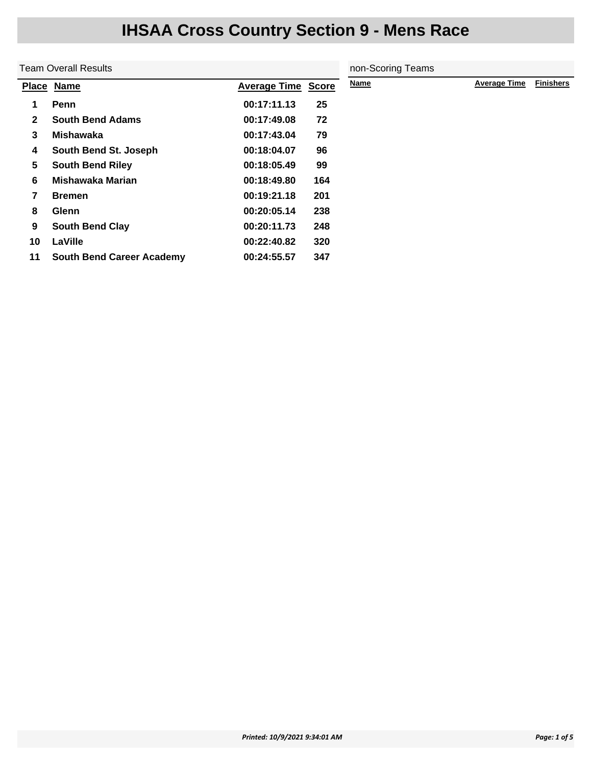|              | <b>Team Overall Results</b>      | non-Scoring Teams   |              |      |                     |                  |
|--------------|----------------------------------|---------------------|--------------|------|---------------------|------------------|
|              | Place Name                       | <b>Average Time</b> | <b>Score</b> | Name | <b>Average Time</b> | <b>Finishers</b> |
| 1            | Penn                             | 00:17:11.13         | 25           |      |                     |                  |
| $\mathbf{2}$ | <b>South Bend Adams</b>          | 00:17:49.08         | 72           |      |                     |                  |
| 3            | Mishawaka                        | 00:17:43.04         | 79           |      |                     |                  |
| 4            | South Bend St. Joseph            | 00:18:04.07         | 96           |      |                     |                  |
| 5            | <b>South Bend Riley</b>          | 00:18:05.49         | 99           |      |                     |                  |
| 6            | <b>Mishawaka Marian</b>          | 00:18:49.80         | 164          |      |                     |                  |
| 7            | <b>Bremen</b>                    | 00:19:21.18         | 201          |      |                     |                  |
| 8            | <b>Glenn</b>                     | 00:20:05.14         | 238          |      |                     |                  |
| 9            | <b>South Bend Clay</b>           | 00:20:11.73         | 248          |      |                     |                  |
| 10           | LaVille                          | 00:22:40.82         | 320          |      |                     |                  |
| 11           | <b>South Bend Career Academy</b> | 00:24:55.57         | 347          |      |                     |                  |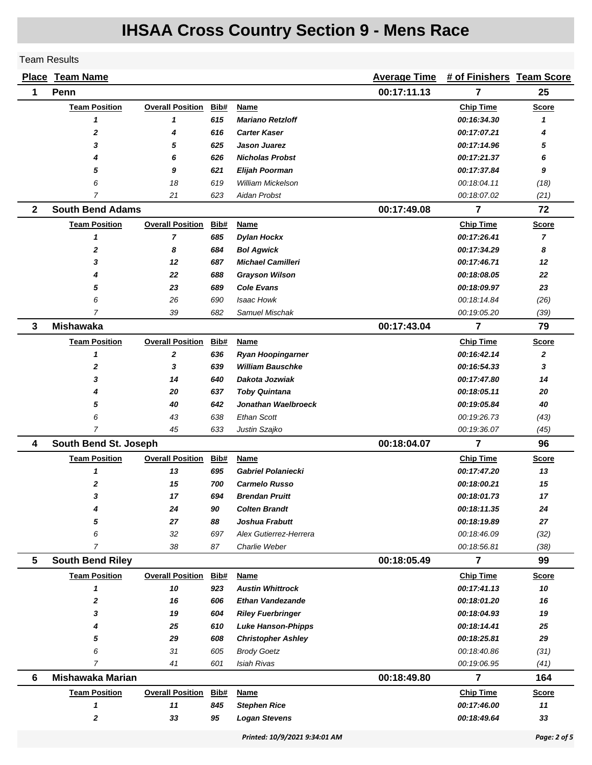#### Team Results

|              | <b>Place Team Name</b>  |                         |      |                               | <b>Average Time</b> | # of Finishers Team Score |                |
|--------------|-------------------------|-------------------------|------|-------------------------------|---------------------|---------------------------|----------------|
| 1            | Penn                    |                         |      |                               | 00:17:11.13         | 7                         | 25             |
|              | <b>Team Position</b>    | <b>Overall Position</b> | Bib# | Name                          |                     | <b>Chip Time</b>          | Score          |
|              | 1                       | 1                       | 615  | <b>Mariano Retzloff</b>       |                     | 00:16:34.30               | 1              |
|              | $\mathbf 2$             | 4                       | 616  | <b>Carter Kaser</b>           |                     | 00:17:07.21               | 4              |
|              | 3                       | 5                       | 625  | Jason Juarez                  |                     | 00:17:14.96               | 5              |
|              | 4                       | 6                       | 626  | <b>Nicholas Probst</b>        |                     | 00:17:21.37               | 6              |
|              | 5                       | 9                       | 621  | <b>Elijah Poorman</b>         |                     | 00:17:37.84               | 9              |
|              | 6                       | 18                      | 619  | <b>William Mickelson</b>      |                     | 00:18:04.11               | (18)           |
|              | $\overline{7}$          | 21                      | 623  | Aidan Probst                  |                     | 00:18:07.02               | (21)           |
| $\mathbf{2}$ | <b>South Bend Adams</b> |                         |      |                               | 00:17:49.08         | 7                         | 72             |
|              | <b>Team Position</b>    | <b>Overall Position</b> | Bib# | Name                          |                     | <b>Chip Time</b>          | <b>Score</b>   |
|              | 1                       | $\overline{7}$          | 685  | <b>Dylan Hockx</b>            |                     | 00:17:26.41               | $\overline{7}$ |
|              | $\mathbf 2$             | 8                       | 684  | <b>Bol Agwick</b>             |                     | 00:17:34.29               | 8              |
|              | 3                       | 12                      | 687  | <b>Michael Camilleri</b>      |                     | 00:17:46.71               | 12             |
|              | 4                       | 22                      | 688  | <b>Grayson Wilson</b>         |                     | 00:18:08.05               | 22             |
|              | 5                       | 23                      | 689  | <b>Cole Evans</b>             |                     | 00:18:09.97               | 23             |
|              | 6                       | 26                      | 690  | Isaac Howk                    |                     | 00:18:14.84               | (26)           |
|              | 7                       | 39                      | 682  | Samuel Mischak                |                     | 00.19.05.20               | (39)           |
| 3            | <b>Mishawaka</b>        |                         |      |                               | 00:17:43.04         | $\overline{7}$            | 79             |
|              | <b>Team Position</b>    | <b>Overall Position</b> | Bib# | <b>Name</b>                   |                     | <b>Chip Time</b>          | <b>Score</b>   |
|              | 1                       | $\boldsymbol{2}$        | 636  | <b>Ryan Hoopingarner</b>      |                     | 00:16:42.14               | 2              |
|              | $\mathbf{2}$            | 3                       | 639  | <b>William Bauschke</b>       |                     | 00:16:54.33               | 3              |
|              | 3                       | 14                      | 640  | Dakota Jozwiak                |                     | 00:17:47.80               | 14             |
|              | 4                       | 20                      | 637  | <b>Toby Quintana</b>          |                     | 00:18:05.11               | 20             |
|              | 5                       | 40                      | 642  | Jonathan Waelbroeck           |                     | 00:19:05.84               | 40             |
|              | 6                       | 43                      | 638  | <b>Ethan Scott</b>            |                     | 00.19.26.73               | (43)           |
|              | 7                       | 45                      | 633  | Justin Szajko                 |                     | 00:19:36.07               | (45)           |
| 4            | South Bend St. Joseph   |                         |      |                               | 00:18:04.07         | $\overline{7}$            | 96             |
|              | <b>Team Position</b>    | <b>Overall Position</b> | Bib# | Name                          |                     | <b>Chip Time</b>          | <b>Score</b>   |
|              | 1                       | 13                      | 695  | <b>Gabriel Polaniecki</b>     |                     | 00:17:47.20               | 13             |
|              | 2                       | 15                      | 700  | <b>Carmelo Russo</b>          |                     | 00:18:00.21               | 15             |
|              | 3                       | 17                      | 694  | <b>Brendan Pruitt</b>         |                     | 00:18:01.73               | 17             |
|              | 4                       | 24                      | 90   | <b>Colten Brandt</b>          |                     | 00:18:11.35               | 24             |
|              | 5                       | 27                      | 88   | Joshua Frabutt                |                     | 00:18:19.89               | 27             |
|              | 6                       | 32                      | 697  | Alex Gutierrez-Herrera        |                     | 00:18:46.09               | (32)           |
|              | $\overline{7}$          | 38                      | 87   | Charlie Weber                 |                     | 00:18:56.81               | (38)           |
| 5            | <b>South Bend Riley</b> |                         |      |                               | 00:18:05.49         | $\overline{7}$            | 99             |
|              | <b>Team Position</b>    | <b>Overall Position</b> | Bib# | Name                          |                     | <b>Chip Time</b>          | <b>Score</b>   |
|              | 1                       | 10                      | 923  | <b>Austin Whittrock</b>       |                     | 00:17:41.13               | 10             |
|              | 2                       | 16                      | 606  | <b>Ethan Vandezande</b>       |                     | 00:18:01.20               | 16             |
|              | 3                       | 19                      | 604  | <b>Riley Fuerbringer</b>      |                     | 00:18:04.93               | 19             |
|              | 4                       | 25                      | 610  | <b>Luke Hanson-Phipps</b>     |                     | 00:18:14.41               | 25             |
|              | 5                       | 29                      | 608  | <b>Christopher Ashley</b>     |                     | 00:18:25.81               | 29             |
|              | 6                       | 31                      | 605  | <b>Brody Goetz</b>            |                     | 00:18:40.86               | (31)           |
|              | $\overline{7}$          | 41                      | 601  | <b>Isiah Rivas</b>            |                     | 00:19:06.95               | (41)           |
| 6            | <b>Mishawaka Marian</b> |                         |      |                               | 00:18:49.80         | 7                         | 164            |
|              | <b>Team Position</b>    | <b>Overall Position</b> | Bib# | Name                          |                     | <b>Chip Time</b>          | <b>Score</b>   |
|              | 1                       | 11                      | 845  | <b>Stephen Rice</b>           |                     | 00:17:46.00               | 11             |
|              | 2                       | 33                      | 95   | <b>Logan Stevens</b>          |                     | 00:18:49.64               | 33             |
|              |                         |                         |      | Printed: 10/9/2021 9:34:01 AM |                     |                           | Page: 2 of 5   |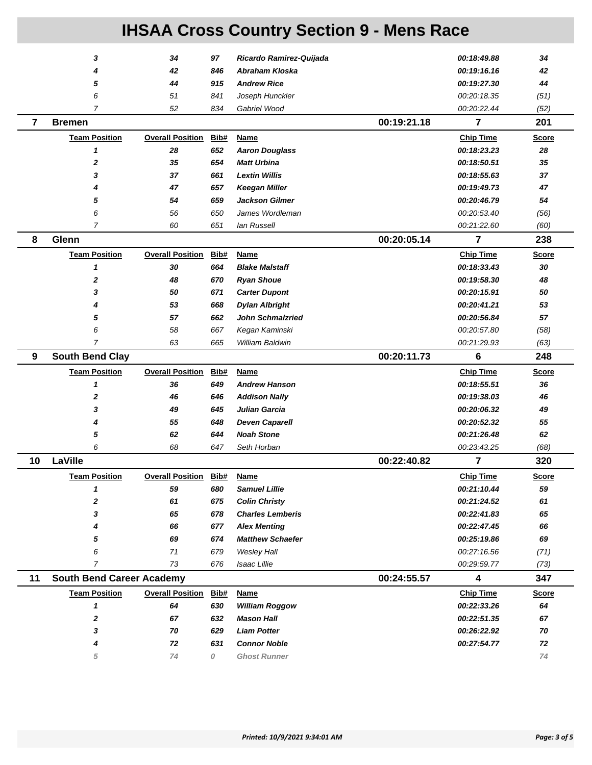|                | 3                                | 34                      | 97         | Ricardo Ramirez-Quijada                         |             | 00:18:49.88                | 34           |
|----------------|----------------------------------|-------------------------|------------|-------------------------------------------------|-------------|----------------------------|--------------|
|                | 4                                | 42                      | 846        | Abraham Kloska                                  |             | 00:19:16.16                | 42           |
|                | 5                                | 44                      | 915        | <b>Andrew Rice</b>                              |             | 00:19:27.30                | 44           |
|                | 6                                | 51                      | 841        | Joseph Hunckler                                 |             | 00:20:18.35                | (51)         |
|                | $\overline{7}$                   | 52                      | 834        | Gabriel Wood                                    |             | 00:20:22.44                | (52)         |
| $\overline{7}$ | <b>Bremen</b>                    |                         |            |                                                 | 00:19:21.18 | 7                          | 201          |
|                | <b>Team Position</b>             | <b>Overall Position</b> | Bib#       | <b>Name</b>                                     |             | <b>Chip Time</b>           | <b>Score</b> |
|                | 1                                | 28                      | 652        | <b>Aaron Douglass</b>                           |             | 00:18:23.23                | 28           |
|                | 2                                | 35                      | 654        | <b>Matt Urbina</b>                              |             | 00:18:50.51                | 35           |
|                | 3                                | 37                      | 661        | <b>Lextin Willis</b>                            |             | 00:18:55.63                | 37           |
|                | 4                                | 47                      | 657        | <b>Keegan Miller</b>                            |             | 00:19:49.73                | 47           |
|                | 5                                | 54                      | 659        | <b>Jackson Gilmer</b>                           |             | 00:20:46.79                | 54           |
|                | 6                                | 56                      | 650        | James Wordleman                                 |             | 00:20:53.40                | (56)         |
|                | 7                                | 60                      | 651        | lan Russell                                     |             | 00:21:22.60                | (60)         |
| 8              | Glenn                            |                         |            |                                                 | 00:20:05.14 | 7                          | 238          |
|                | <b>Team Position</b>             | <b>Overall Position</b> | Bib#       | <b>Name</b>                                     |             | <b>Chip Time</b>           | <b>Score</b> |
|                | 1                                | 30                      | 664        | <b>Blake Malstaff</b>                           |             | 00:18:33.43                | 30           |
|                | 2                                | 48                      | 670        | <b>Ryan Shoue</b>                               |             | 00:19:58.30                | 48           |
|                | 3                                | 50                      | 671        | <b>Carter Dupont</b>                            |             | 00:20:15.91                | 50           |
|                | 4                                | 53                      | 668        | <b>Dylan Albright</b>                           |             | 00:20:41.21                | 53           |
|                | 5                                | 57                      | 662        | <b>John Schmalzried</b>                         |             | 00:20:56.84                | 57           |
|                | 6                                | 58                      | 667        | Kegan Kaminski                                  |             | 00:20:57.80                | (58)         |
|                | 7                                | 63                      | 665        | William Baldwin                                 |             | 00:21:29.93                | (63)         |
| 9              | <b>South Bend Clay</b>           |                         |            |                                                 | 00:20:11.73 | 6                          | 248          |
|                |                                  |                         |            |                                                 |             |                            |              |
|                | <b>Team Position</b>             | <b>Overall Position</b> | Bib#       | Name                                            |             | <b>Chip Time</b>           | <b>Score</b> |
|                | $\mathbf{1}$                     | 36                      | 649        | <b>Andrew Hanson</b>                            |             | 00:18:55.51                | 36           |
|                | 2                                | 46                      | 646        | <b>Addison Nally</b>                            |             | 00:19:38.03                | 46           |
|                | 3                                | 49                      | 645        | Julian Garcia                                   |             | 00:20:06.32                | 49           |
|                | 4                                | 55                      | 648        | <b>Deven Caparell</b>                           |             | 00:20:52.32                | 55           |
|                | 5                                | 62                      | 644        | <b>Noah Stone</b>                               |             | 00:21:26.48                | 62           |
|                | 6                                | 68                      | 647        | Seth Horban                                     |             | 00:23:43.25                | (68)         |
| 10             | LaVille                          |                         |            |                                                 | 00:22:40.82 | 7                          | 320          |
|                | <b>Team Position</b>             | <b>Overall Position</b> | Bib#       | Name                                            |             | <b>Chip Time</b>           | <b>Score</b> |
|                | 1                                | 59                      | 680        | <b>Samuel Lillie</b>                            |             |                            | 59           |
|                | 2                                | 61                      | 675        |                                                 |             | 00:21:10.44<br>00:21:24.52 | 61           |
|                | 3                                | 65                      | 678        | <b>Colin Christy</b><br><b>Charles Lemberis</b> |             | 00:22:41.83                | 65           |
|                |                                  | 66                      |            |                                                 |             | 00:22:47.45                | 66           |
|                | 5                                | 69                      | 677<br>674 | <b>Alex Menting</b><br><b>Matthew Schaefer</b>  |             | 00:25:19.86                | 69           |
|                | 6                                | 71                      | 679        | <b>Wesley Hall</b>                              |             | 00:27:16.56                | (71)         |
|                | $\overline{7}$                   | 73                      | 676        | Isaac Lillie                                    |             | 00:29:59.77                | (73)         |
| 11             | <b>South Bend Career Academy</b> |                         |            |                                                 | 00:24:55.57 | $\overline{\mathbf{4}}$    | 347          |
|                | <b>Team Position</b>             | <b>Overall Position</b> | Bib#       | <b>Name</b>                                     |             | <b>Chip Time</b>           | <b>Score</b> |
|                | 1                                | 64                      | 630        | <b>William Roggow</b>                           |             | 00:22:33.26                | 64           |
|                | 2                                | 67                      | 632        | <b>Mason Hall</b>                               |             | 00:22:51.35                | 67           |
|                | 3                                | 70                      | 629        | <b>Liam Potter</b>                              |             | 00:26:22.92                | 70           |
|                |                                  | 72                      | 631        | <b>Connor Noble</b>                             |             | 00:27:54.77                | 72           |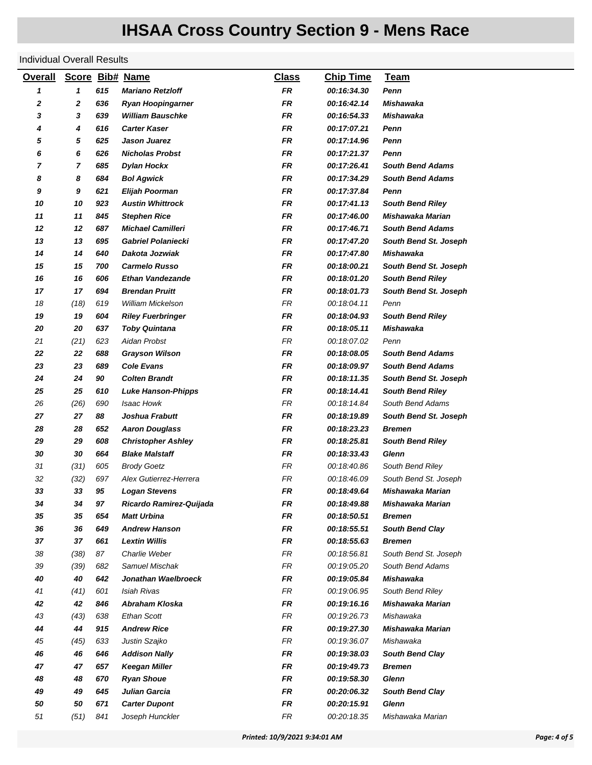#### Individual Overall Results

| <b>Overall</b> | <b>Score</b> |     | <b>Bib# Name</b>          | <b>Class</b> | <b>Chip Time</b> | Team                    |
|----------------|--------------|-----|---------------------------|--------------|------------------|-------------------------|
| 1              | 1            | 615 | <b>Mariano Retzloff</b>   | <b>FR</b>    | 00:16:34.30      | Penn                    |
| 2              | 2            | 636 | <b>Ryan Hoopingarner</b>  | <b>FR</b>    | 00:16:42.14      | Mishawaka               |
| 3              | 3            | 639 | <b>William Bauschke</b>   | FR           | 00:16:54.33      | Mishawaka               |
| 4              | 4            | 616 | <b>Carter Kaser</b>       | FR           | 00:17:07.21      | Penn                    |
| 5              | 5            | 625 | Jason Juarez              | FR           | 00:17:14.96      | Penn                    |
| 6              | 6            | 626 | <b>Nicholas Probst</b>    | FR           | 00:17:21.37      | Penn                    |
| 7              | 7            | 685 | <b>Dylan Hockx</b>        | FR           | 00:17:26.41      | <b>South Bend Adams</b> |
| 8              | 8            | 684 | <b>Bol Agwick</b>         | FR           | 00:17:34.29      | <b>South Bend Adams</b> |
| 9              | 9            | 621 | Elijah Poorman            | FR           | 00:17:37.84      | Penn                    |
| 10             | 10           | 923 | <b>Austin Whittrock</b>   | FR           | 00:17:41.13      | <b>South Bend Riley</b> |
| 11             | 11           | 845 | <b>Stephen Rice</b>       | FR           | 00:17:46.00      | Mishawaka Marian        |
| 12             | 12           | 687 | <b>Michael Camilleri</b>  | FR           | 00:17:46.71      | <b>South Bend Adams</b> |
| 13             | 13           | 695 | <b>Gabriel Polaniecki</b> | FR           | 00:17:47.20      | South Bend St. Joseph   |
| 14             | 14           | 640 | Dakota Jozwiak            | FR           | 00:17:47.80      | Mishawaka               |
| 15             | 15           | 700 | <b>Carmelo Russo</b>      | FR           | 00:18:00.21      | South Bend St. Joseph   |
| 16             | 16           | 606 | Ethan Vandezande          | FR           | 00:18:01.20      | <b>South Bend Riley</b> |
| 17             | 17           | 694 | <b>Brendan Pruitt</b>     | FR           | 00:18:01.73      | South Bend St. Joseph   |
| 18             | (18)         | 619 | William Mickelson         | FR           | 00:18:04.11      | Penn                    |
| 19             | 19           | 604 | <b>Riley Fuerbringer</b>  | <b>FR</b>    | 00:18:04.93      | <b>South Bend Riley</b> |
| 20             | 20           | 637 | <b>Toby Quintana</b>      | FR           | 00:18:05.11      | Mishawaka               |
| 21             | (21)         | 623 | Aidan Probst              | FR           | 00:18:07.02      | Penn                    |
| 22             | 22           | 688 | <b>Grayson Wilson</b>     | FR           | 00:18:08.05      | <b>South Bend Adams</b> |
| 23             | 23           | 689 | <b>Cole Evans</b>         | FR           | 00:18:09.97      | <b>South Bend Adams</b> |
| 24             | 24           | 90  | <b>Colten Brandt</b>      | FR           | 00:18:11.35      | South Bend St. Joseph   |
| 25             | 25           | 610 | <b>Luke Hanson-Phipps</b> | FR           | 00:18:14.41      | <b>South Bend Riley</b> |
| 26             | (26)         | 690 | Isaac Howk                | FR           | 00:18:14.84      | South Bend Adams        |
| 27             | 27           | 88  | Joshua Frabutt            | FR           | 00:18:19.89      | South Bend St. Joseph   |
| 28             | 28           | 652 | <b>Aaron Douglass</b>     | FR           | 00:18:23.23      | <b>Bremen</b>           |
| 29             | 29           | 608 | <b>Christopher Ashley</b> | FR           | 00:18:25.81      | <b>South Bend Riley</b> |
| 30             | 30           | 664 | <b>Blake Malstaff</b>     | FR           | 00:18:33.43      | Glenn                   |
| 31             | (31)         | 605 | <b>Brody Goetz</b>        | FR           | 00:18:40.86      | South Bend Riley        |
| 32             | (32)         | 697 | Alex Gutierrez-Herrera    | FR           | 00.18.46.09      | South Bend St. Joseph   |
| 33             | 33           | 95  | <b>Logan Stevens</b>      | FR           | 00:18:49.64      | Mishawaka Marian        |
| 34             | 34           | 97  | Ricardo Ramirez-Quijada   | FR           | 00:18:49.88      | <b>Mishawaka Marian</b> |
| 35             | 35           | 654 | <b>Matt Urbina</b>        | FR           | 00:18:50.51      | Bremen                  |
| 36             | 36           | 649 | <b>Andrew Hanson</b>      | FR           | 00:18:55.51      | <b>South Bend Clay</b>  |
| 37             | 37           | 661 | <b>Lextin Willis</b>      | FR           | 00:18:55.63      | <b>Bremen</b>           |
| 38             | (38)         | 87  | Charlie Weber             | FR           | 00.18.56.81      | South Bend St. Joseph   |
| 39             | (39)         | 682 | Samuel Mischak            | FR           | 00:19:05.20      | South Bend Adams        |
| 40             | 40           | 642 | Jonathan Waelbroeck       | FR           | 00:19:05.84      | <b>Mishawaka</b>        |
| 41             | (41)         | 601 | <b>Isiah Rivas</b>        | FR           | 00:19:06.95      | South Bend Riley        |
| 42             | 42           | 846 | Abraham Kloska            | FR           | 00:19:16.16      | <b>Mishawaka Marian</b> |
| 43             | (43)         | 638 | Ethan Scott               | FR           | 00:19:26.73      | Mishawaka               |
| 44             | 44           | 915 | <b>Andrew Rice</b>        | <b>FR</b>    | 00:19:27.30      | <b>Mishawaka Marian</b> |
| 45             | (45)         | 633 | Justin Szajko             | FR           | 00:19:36.07      | Mishawaka               |
| 46             | 46           | 646 | <b>Addison Nally</b>      | FR           | 00:19:38.03      | <b>South Bend Clay</b>  |
| 47             | 47           | 657 | <b>Keegan Miller</b>      | FR           | 00:19:49.73      | <b>Bremen</b>           |
| 48             | 48           | 670 | <b>Ryan Shoue</b>         | FR           | 00:19:58.30      | Glenn                   |
| 49             | 49           | 645 | Julian Garcia             | FR           | 00:20:06.32      | <b>South Bend Clay</b>  |
| 50             | 50           | 671 | <b>Carter Dupont</b>      | FR           | 00:20:15.91      | <b>Glenn</b>            |
| 51             | (51)         | 841 | Joseph Hunckler           | FR           | 00:20:18.35      | Mishawaka Marian        |